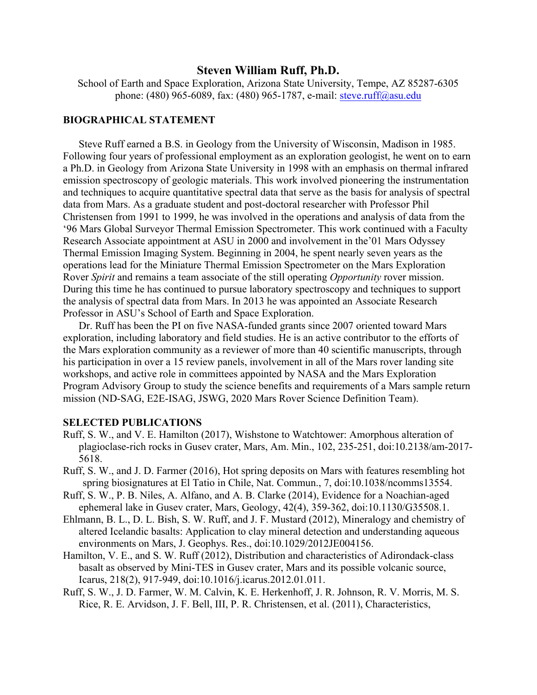## **Steven William Ruff, Ph.D.**

School of Earth and Space Exploration, Arizona State University, Tempe, AZ 85287-6305 phone: (480) 965-6089, fax: (480) 965-1787, e-mail: steve.ruff@asu.edu

## **BIOGRAPHICAL STATEMENT**

Steve Ruff earned a B.S. in Geology from the University of Wisconsin, Madison in 1985. Following four years of professional employment as an exploration geologist, he went on to earn a Ph.D. in Geology from Arizona State University in 1998 with an emphasis on thermal infrared emission spectroscopy of geologic materials. This work involved pioneering the instrumentation and techniques to acquire quantitative spectral data that serve as the basis for analysis of spectral data from Mars. As a graduate student and post-doctoral researcher with Professor Phil Christensen from 1991 to 1999, he was involved in the operations and analysis of data from the '96 Mars Global Surveyor Thermal Emission Spectrometer. This work continued with a Faculty Research Associate appointment at ASU in 2000 and involvement in the'01 Mars Odyssey Thermal Emission Imaging System. Beginning in 2004, he spent nearly seven years as the operations lead for the Miniature Thermal Emission Spectrometer on the Mars Exploration Rover *Spirit* and remains a team associate of the still operating *Opportunity* rover mission. During this time he has continued to pursue laboratory spectroscopy and techniques to support the analysis of spectral data from Mars. In 2013 he was appointed an Associate Research Professor in ASU's School of Earth and Space Exploration.

Dr. Ruff has been the PI on five NASA-funded grants since 2007 oriented toward Mars exploration, including laboratory and field studies. He is an active contributor to the efforts of the Mars exploration community as a reviewer of more than 40 scientific manuscripts, through his participation in over a 15 review panels, involvement in all of the Mars rover landing site workshops, and active role in committees appointed by NASA and the Mars Exploration Program Advisory Group to study the science benefits and requirements of a Mars sample return mission (ND-SAG, E2E-ISAG, JSWG, 2020 Mars Rover Science Definition Team).

## **SELECTED PUBLICATIONS**

- Ruff, S. W., and V. E. Hamilton (2017), Wishstone to Watchtower: Amorphous alteration of plagioclase-rich rocks in Gusev crater, Mars, Am. Min., 102, 235-251, doi:10.2138/am-2017- 5618.
- Ruff, S. W., and J. D. Farmer (2016), Hot spring deposits on Mars with features resembling hot spring biosignatures at El Tatio in Chile, Nat. Commun., 7, doi:10.1038/ncomms13554.
- Ruff, S. W., P. B. Niles, A. Alfano, and A. B. Clarke (2014), Evidence for a Noachian-aged ephemeral lake in Gusev crater, Mars, Geology, 42(4), 359-362, doi:10.1130/G35508.1.
- Ehlmann, B. L., D. L. Bish, S. W. Ruff, and J. F. Mustard (2012), Mineralogy and chemistry of altered Icelandic basalts: Application to clay mineral detection and understanding aqueous environments on Mars, J. Geophys. Res., doi:10.1029/2012JE004156.
- Hamilton, V. E., and S. W. Ruff (2012), Distribution and characteristics of Adirondack-class basalt as observed by Mini-TES in Gusev crater, Mars and its possible volcanic source, Icarus, 218(2), 917-949, doi:10.1016/j.icarus.2012.01.011.
- Ruff, S. W., J. D. Farmer, W. M. Calvin, K. E. Herkenhoff, J. R. Johnson, R. V. Morris, M. S. Rice, R. E. Arvidson, J. F. Bell, III, P. R. Christensen, et al. (2011), Characteristics,